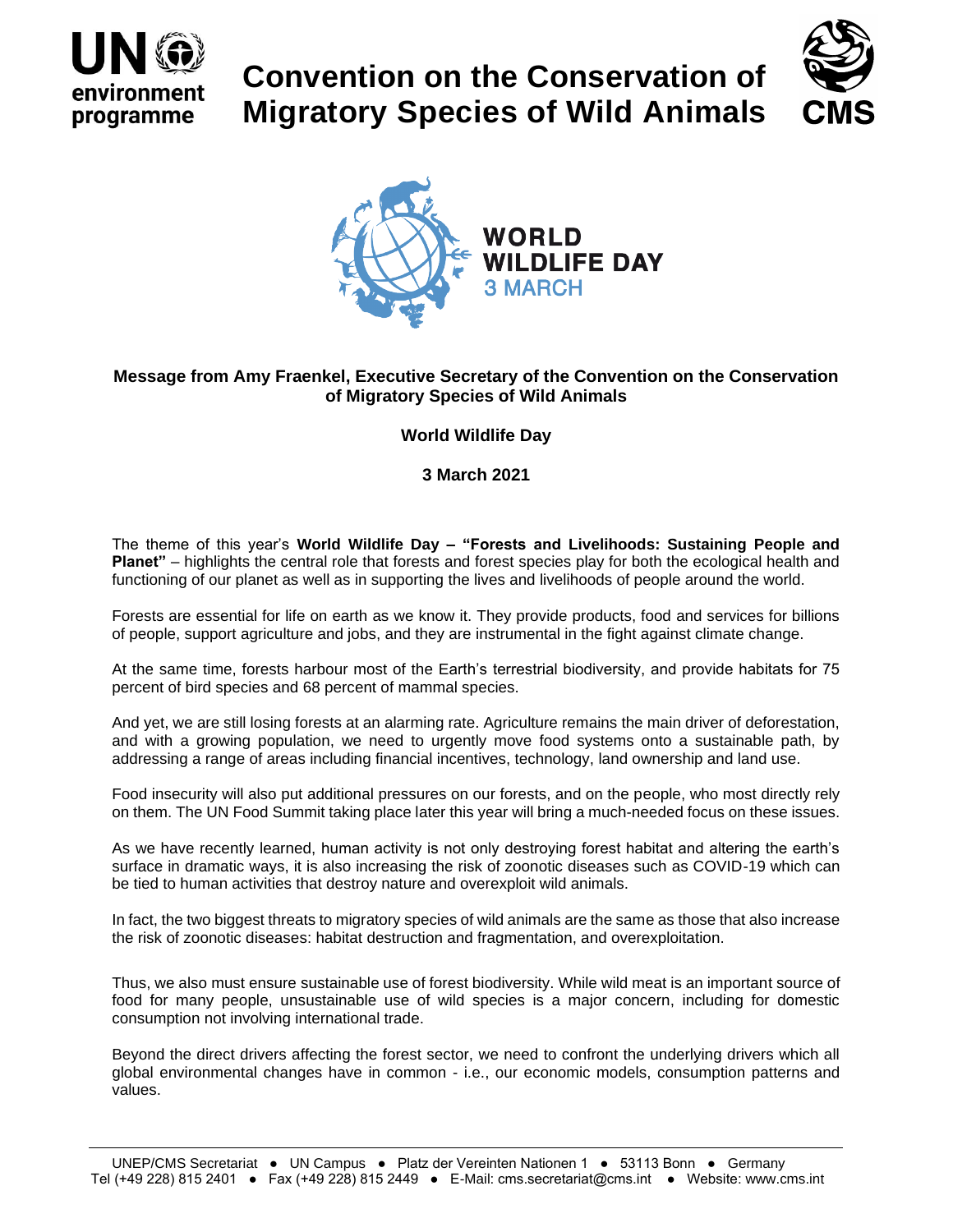

## **Convention on the Conservation of Migratory Species of Wild Animals**





## **Message from Amy Fraenkel, Executive Secretary of the Convention on the Conservation of Migratory Species of Wild Animals**

## **World Wildlife Day**

## **3 March 2021**

The theme of this year's **World Wildlife Day – "Forests and Livelihoods: Sustaining People and Planet"** – highlights the central role that forests and forest species play for both the ecological health and functioning of our planet as well as in supporting the lives and livelihoods of people around the world.

Forests are essential for life on earth as we know it. They provide products, food and services for billions of people, support agriculture and jobs, and they are instrumental in the fight against climate change.

At the same time, forests harbour most of the Earth's terrestrial biodiversity, and provide habitats for 75 percent of bird species and 68 percent of mammal species.

And yet, we are still losing forests at an alarming rate. Agriculture remains the main driver of deforestation, and with a growing population, we need to urgently move food systems onto a sustainable path, by addressing a range of areas including financial incentives, technology, land ownership and land use.

Food insecurity will also put additional pressures on our forests, and on the people, who most directly rely on them. The UN Food Summit taking place later this year will bring a much-needed focus on these issues.

As we have recently learned, human activity is not only destroying forest habitat and altering the earth's surface in dramatic ways, it is also increasing the risk of zoonotic diseases such as COVID-19 which can be tied to human activities that destroy nature and overexploit wild animals.

In fact, the two biggest threats to migratory species of wild animals are the same as those that also increase the risk of zoonotic diseases: habitat destruction and fragmentation, and overexploitation.

Thus, we also must ensure sustainable use of forest biodiversity. While wild meat is an important source of food for many people, unsustainable use of wild species is a major concern, including for domestic consumption not involving international trade.

Beyond the direct drivers affecting the forest sector, we need to confront the underlying drivers which all global environmental changes have in common - i.e., our economic models, consumption patterns and values.